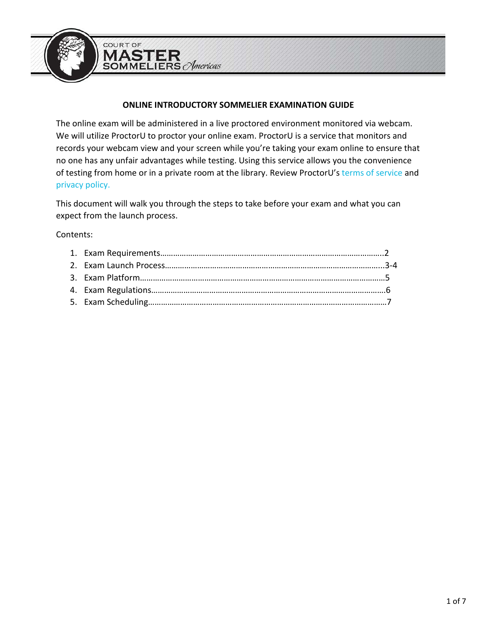

### **ONLINE INTRODUCTORY SOMMELIER EXAMINATION GUIDE**

The online exam will be administered in a live proctored environment monitored via webcam. We will utilize ProctorU to proctor your online exam. ProctorU is a service that monitors and records your webcam view and your screen while you're taking your exam online to ensure that no one has any unfair advantages while testing. Using this service allows you the convenience of testing from home or in a private room at the library. Review ProctorU's [terms of service](https://www.proctoru.com/terms-of-service) and [privacy policy.](https://www.proctoru.com/privacy-policy)

This document will walk you through the steps to take before your exam and what you can expect from the launch process.

Contents: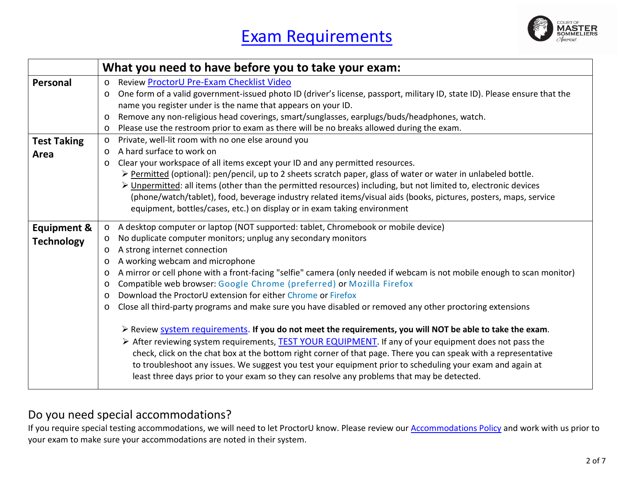

|                        | What you need to have before you to take your exam:                                                                                                                                                                                                                                                                                                                                                                                                                                                                                                              |
|------------------------|------------------------------------------------------------------------------------------------------------------------------------------------------------------------------------------------------------------------------------------------------------------------------------------------------------------------------------------------------------------------------------------------------------------------------------------------------------------------------------------------------------------------------------------------------------------|
| Personal               | Review ProctorU Pre-Exam Checklist Video<br>$\circ$                                                                                                                                                                                                                                                                                                                                                                                                                                                                                                              |
|                        | One form of a valid government-issued photo ID (driver's license, passport, military ID, state ID). Please ensure that the<br>$\circ$                                                                                                                                                                                                                                                                                                                                                                                                                            |
|                        | name you register under is the name that appears on your ID.                                                                                                                                                                                                                                                                                                                                                                                                                                                                                                     |
|                        | Remove any non-religious head coverings, smart/sunglasses, earplugs/buds/headphones, watch.<br>$\circ$                                                                                                                                                                                                                                                                                                                                                                                                                                                           |
|                        | Please use the restroom prior to exam as there will be no breaks allowed during the exam.<br>$\circ$                                                                                                                                                                                                                                                                                                                                                                                                                                                             |
| <b>Test Taking</b>     | Private, well-lit room with no one else around you<br>$\circ$                                                                                                                                                                                                                                                                                                                                                                                                                                                                                                    |
| Area                   | A hard surface to work on<br>$\circ$                                                                                                                                                                                                                                                                                                                                                                                                                                                                                                                             |
|                        | Clear your workspace of all items except your ID and any permitted resources.<br>$\circ$                                                                                                                                                                                                                                                                                                                                                                                                                                                                         |
|                        | > Permitted (optional): pen/pencil, up to 2 sheets scratch paper, glass of water or water in unlabeled bottle.                                                                                                                                                                                                                                                                                                                                                                                                                                                   |
|                        | > Unpermitted: all items (other than the permitted resources) including, but not limited to, electronic devices                                                                                                                                                                                                                                                                                                                                                                                                                                                  |
|                        | (phone/watch/tablet), food, beverage industry related items/visual aids (books, pictures, posters, maps, service                                                                                                                                                                                                                                                                                                                                                                                                                                                 |
|                        | equipment, bottles/cases, etc.) on display or in exam taking environment                                                                                                                                                                                                                                                                                                                                                                                                                                                                                         |
| <b>Equipment &amp;</b> | A desktop computer or laptop (NOT supported: tablet, Chromebook or mobile device)<br>$\circ$                                                                                                                                                                                                                                                                                                                                                                                                                                                                     |
| <b>Technology</b>      | No duplicate computer monitors; unplug any secondary monitors<br>$\circ$                                                                                                                                                                                                                                                                                                                                                                                                                                                                                         |
|                        | A strong internet connection<br>$\circ$                                                                                                                                                                                                                                                                                                                                                                                                                                                                                                                          |
|                        | A working webcam and microphone<br>$\circ$                                                                                                                                                                                                                                                                                                                                                                                                                                                                                                                       |
|                        | A mirror or cell phone with a front-facing "selfie" camera (only needed if webcam is not mobile enough to scan monitor)<br>$\circ$                                                                                                                                                                                                                                                                                                                                                                                                                               |
|                        | Compatible web browser: Google Chrome (preferred) or Mozilla Firefox<br>$\circ$                                                                                                                                                                                                                                                                                                                                                                                                                                                                                  |
|                        | Download the ProctorU extension for either Chrome or Firefox<br>$\circ$                                                                                                                                                                                                                                                                                                                                                                                                                                                                                          |
|                        | Close all third-party programs and make sure you have disabled or removed any other proctoring extensions<br>$\circ$                                                                                                                                                                                                                                                                                                                                                                                                                                             |
|                        | $\triangleright$ Review system requirements. If you do not meet the requirements, you will NOT be able to take the exam.<br>> After reviewing system requirements, TEST YOUR EQUIPMENT. If any of your equipment does not pass the<br>check, click on the chat box at the bottom right corner of that page. There you can speak with a representative<br>to troubleshoot any issues. We suggest you test your equipment prior to scheduling your exam and again at<br>least three days prior to your exam so they can resolve any problems that may be detected. |

## Do you need special accommodations?

If you require special testing accommodations, we will need to let ProctorU know. Please review our **Accommodations Policy** and work with us prior to your exam to make sure your accommodations are noted in their system.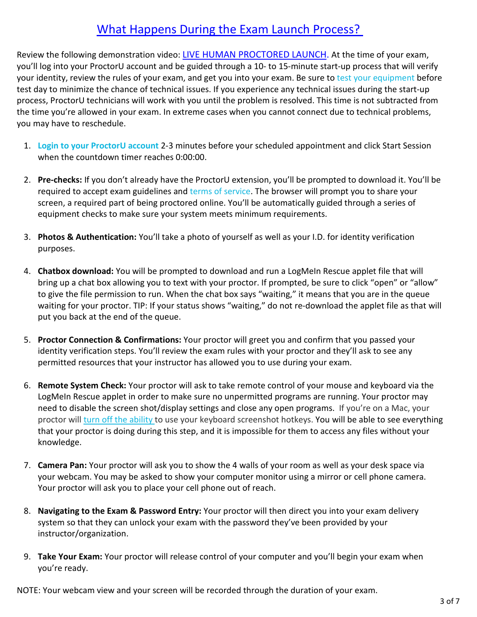# [What Happens During the Exam Launch Process?](https://youtu.be/5gdh46rBvbU)

Review the following demonstration video: [LIVE HUMAN PROCTORED LAUNCH.](https://youtu.be/5gdh46rBvbU) At the time of your exam, you'll log into your ProctorU account and be guided through a 10- to 15-minute start-up process that will verify your identity, review the rules of your exam, and get you into your exam. Be sure to [test your equipment](https://go.proctoru.com/students/system-metrics/new) before test day to minimize the chance of technical issues. If you experience any technical issues during the start-up process, ProctorU technicians will work with you until the problem is resolved. This time is not subtracted from the time you're allowed in your exam. In extreme cases when you cannot connect due to technical problems, you may have to reschedule.

- 1. **[Login to your ProctorU account](https://go.proctoru.com/)** 2-3 minutes before your scheduled appointment and click Start Session when the countdown timer reaches 0:00:00.
- 2. **Pre-checks:** If you don't already have the ProctorU extension, you'll be prompted to download it. You'll be required to accept exam guidelines and [terms of service.](https://www.proctoru.com/terms-of-service) The browser will prompt you to share your screen, a required part of being proctored online. You'll be automatically guided through a series of equipment checks to make sure your system meets minimum requirements.
- 3. **Photos & Authentication:** You'll take a photo of yourself as well as your I.D. for identity verification purposes.
- 4. **Chatbox download:** You will be prompted to download and run a LogMeIn Rescue applet file that will bring up a chat box allowing you to text with your proctor. If prompted, be sure to click "open" or "allow" to give the file permission to run. When the chat box says "waiting," it means that you are in the queue waiting for your proctor. TIP: If your status shows "waiting," do not re-download the applet file as that will put you back at the end of the queue.
- 5. **Proctor Connection & Confirmations:** Your proctor will greet you and confirm that you passed your identity verification steps. You'll review the exam rules with your proctor and they'll ask to see any permitted resources that your instructor has allowed you to use during your exam.
- 6. **Remote System Check:** Your proctor will ask to take remote control of your mouse and keyboard via the LogMeIn Rescue applet in order to make sure no unpermitted programs are running. Your proctor may need to disable the screen shot/display settings and close any open programs. If you're on a Mac, your proctor will [turn off the ability](https://support.proctoru.com/hc/en-us/articles/360000683887-How-do-I-re-enable-my-Mac-screenshot-hotkeys-) to use your keyboard screenshot hotkeys. You will be able to see everything that your proctor is doing during this step, and it is impossible for them to access any files without your knowledge.
- 7. **Camera Pan:** Your proctor will ask you to show the 4 walls of your room as well as your desk space via your webcam. You may be asked to show your computer monitor using a mirror or cell phone camera. Your proctor will ask you to place your cell phone out of reach.
- 8. **Navigating to the Exam & Password Entry:** Your proctor will then direct you into your exam delivery system so that they can unlock your exam with the password they've been provided by your instructor/organization.
- 9. **Take Your Exam:** Your proctor will release control of your computer and you'll begin your exam when you're ready.

NOTE: Your webcam view and your screen will be recorded through the duration of your exam.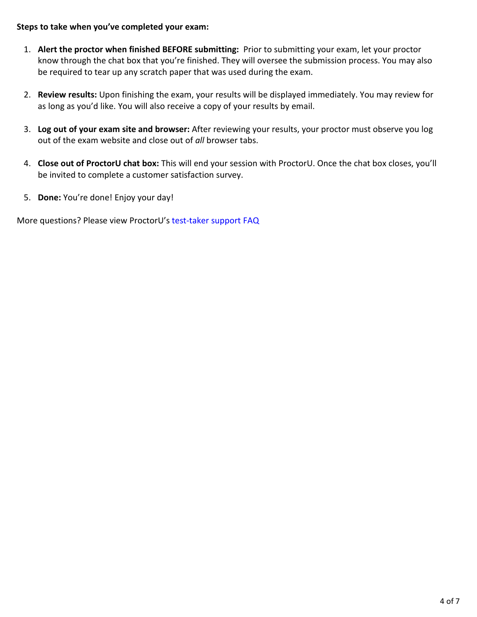#### **Steps to take when you've completed your exam:**

- 1. **Alert the proctor when finished BEFORE submitting:** Prior to submitting your exam, let your proctor know through the chat box that you're finished. They will oversee the submission process. You may also be required to tear up any scratch paper that was used during the exam.
- 2. **Review results:** Upon finishing the exam, your results will be displayed immediately. You may review for as long as you'd like. You will also receive a copy of your results by email.
- 3. **Log out of your exam site and browser:** After reviewing your results, your proctor must observe you log out of the exam website and close out of *all* browser tabs.
- 4. **Close out of ProctorU chat box:** This will end your session with ProctorU. Once the chat box closes, you'll be invited to complete a customer satisfaction survey.
- 5. **Done:** You're done! Enjoy your day!

More questions? Please view ProctorU's test-taker support FAQ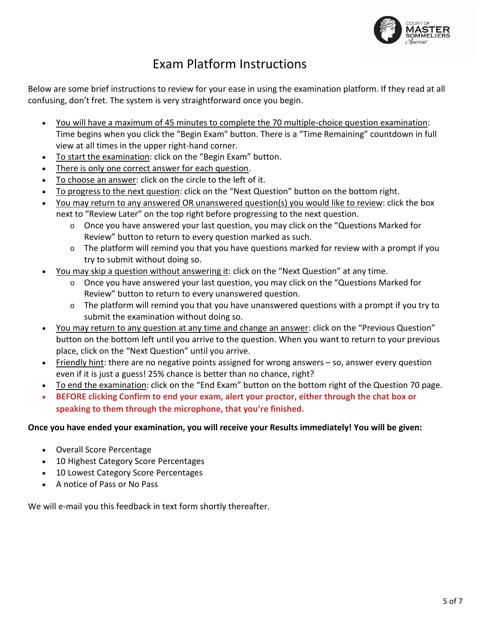

# Exam Platform Instructions

Below are some brief instructions to review for your ease in using the examination platform. If they read at all confusing, don't fret. The system is very straightforward once you begin.

- You will have a maximum of 45 minutes to complete the 70 multiple-choice question examination: Time begins when you click the "Begin Exam" button. There is a "Time Remaining" countdown in full view at all times in the upper right-hand corner.
- To start the examination: click on the "Begin Exam" button.
- There is only one correct answer for each question.
- To choose an answer: click on the circle to the left of it.
- To progress to the next question: click on the "Next Question" button on the bottom right.
- You may return to any answered OR unanswered question(s) you would like to review: click the box next to "Review Later" on the top right before progressing to the next question.
	- o Once you have answered your last question, you may click on the "Questions Marked for Review" button to return to every question marked as such.
	- o The platform will remind you that you have questions marked for review with a prompt if you try to submit without doing so.
- You may skip a question without answering it: click on the "Next Question" at any time.
	- o Once you have answered your last question, you may click on the "Questions Marked for Review" button to return to every unanswered question.
	- $\circ$  The platform will remind you that you have unanswered questions with a prompt if you try to submit the examination without doing so.
- You may return to any question at any time and change an answer: click on the "Previous Question" button on the bottom left until you arrive to the question. When you want to return to your previous place, click on the "Next Question" until you arrive.
- Friendly hint: there are no negative points assigned for wrong answers so, answer every question even if it is just a guess! 25% chance is better than no chance, right?
- To end the examination: click on the "End Exam" button on the bottom right of the Question 70 page.
- **BEFORE clicking Confirm to end your exam, alert your proctor, either through the chat box or speaking to them through the microphone, that you're finished.**

### **Once you have ended your examination, you will receive your Results immediately! You will be given:**

- Overall Score Percentage
- 10 Highest Category Score Percentages
- 10 Lowest Category Score Percentages
- A notice of Pass or No Pass

We will e-mail you this feedback in text form shortly thereafter.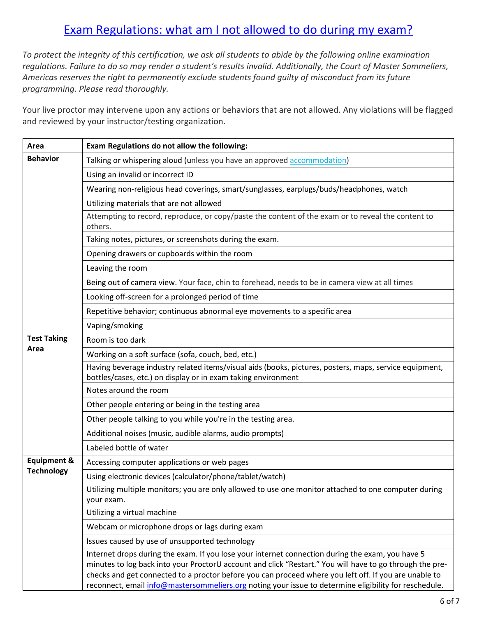# Exam Regulations: what am [I not allowed to do during my exam?](https://support.proctoru.com/hc/en-us/articles/360043127892-What-am-I-allowed-and-not-allowed-to-do-during-my-exam-#:%7E:text=Taking%20pictures%20or%20screenshots%20of,use%20your%20keyboard%20screenshot%20hotkeys.)

*To protect the integrity of this certification, we ask all students to abide by the following online examination regulations. Failure to do so may render a student's results invalid. Additionally, the Court of Master Sommeliers, Americas reserves the right to permanently exclude students found guilty of misconduct from its future programming. Please read thoroughly.* 

Your live proctor may intervene upon any actions or behaviors that are not allowed. Any violations will be flagged and reviewed by your instructor/testing organization.

| Area                   | Exam Regulations do not allow the following:                                                                                                                                                                                                                                                                                                                                                                                   |
|------------------------|--------------------------------------------------------------------------------------------------------------------------------------------------------------------------------------------------------------------------------------------------------------------------------------------------------------------------------------------------------------------------------------------------------------------------------|
| <b>Behavior</b>        | Talking or whispering aloud (unless you have an approved accommodation)                                                                                                                                                                                                                                                                                                                                                        |
|                        | Using an invalid or incorrect ID                                                                                                                                                                                                                                                                                                                                                                                               |
|                        | Wearing non-religious head coverings, smart/sunglasses, earplugs/buds/headphones, watch                                                                                                                                                                                                                                                                                                                                        |
|                        | Utilizing materials that are not allowed                                                                                                                                                                                                                                                                                                                                                                                       |
|                        | Attempting to record, reproduce, or copy/paste the content of the exam or to reveal the content to<br>others.                                                                                                                                                                                                                                                                                                                  |
|                        | Taking notes, pictures, or screenshots during the exam.                                                                                                                                                                                                                                                                                                                                                                        |
|                        | Opening drawers or cupboards within the room                                                                                                                                                                                                                                                                                                                                                                                   |
|                        | Leaving the room                                                                                                                                                                                                                                                                                                                                                                                                               |
|                        | Being out of camera view. Your face, chin to forehead, needs to be in camera view at all times                                                                                                                                                                                                                                                                                                                                 |
|                        | Looking off-screen for a prolonged period of time                                                                                                                                                                                                                                                                                                                                                                              |
|                        | Repetitive behavior; continuous abnormal eye movements to a specific area                                                                                                                                                                                                                                                                                                                                                      |
|                        | Vaping/smoking                                                                                                                                                                                                                                                                                                                                                                                                                 |
| <b>Test Taking</b>     | Room is too dark                                                                                                                                                                                                                                                                                                                                                                                                               |
| Area                   | Working on a soft surface (sofa, couch, bed, etc.)                                                                                                                                                                                                                                                                                                                                                                             |
|                        | Having beverage industry related items/visual aids (books, pictures, posters, maps, service equipment,<br>bottles/cases, etc.) on display or in exam taking environment                                                                                                                                                                                                                                                        |
|                        | Notes around the room                                                                                                                                                                                                                                                                                                                                                                                                          |
|                        | Other people entering or being in the testing area                                                                                                                                                                                                                                                                                                                                                                             |
|                        | Other people talking to you while you're in the testing area.                                                                                                                                                                                                                                                                                                                                                                  |
|                        | Additional noises (music, audible alarms, audio prompts)                                                                                                                                                                                                                                                                                                                                                                       |
|                        | Labeled bottle of water                                                                                                                                                                                                                                                                                                                                                                                                        |
| <b>Equipment &amp;</b> | Accessing computer applications or web pages                                                                                                                                                                                                                                                                                                                                                                                   |
| <b>Technology</b>      | Using electronic devices (calculator/phone/tablet/watch)                                                                                                                                                                                                                                                                                                                                                                       |
|                        | Utilizing multiple monitors; you are only allowed to use one monitor attached to one computer during<br>vour exam.                                                                                                                                                                                                                                                                                                             |
|                        | Utilizing a virtual machine                                                                                                                                                                                                                                                                                                                                                                                                    |
|                        | Webcam or microphone drops or lags during exam                                                                                                                                                                                                                                                                                                                                                                                 |
|                        | Issues caused by use of unsupported technology                                                                                                                                                                                                                                                                                                                                                                                 |
|                        | Internet drops during the exam. If you lose your internet connection during the exam, you have 5<br>minutes to log back into your ProctorU account and click "Restart." You will have to go through the pre-<br>checks and get connected to a proctor before you can proceed where you left off. If you are unable to<br>reconnect, email info@mastersommeliers.org noting your issue to determine eligibility for reschedule. |